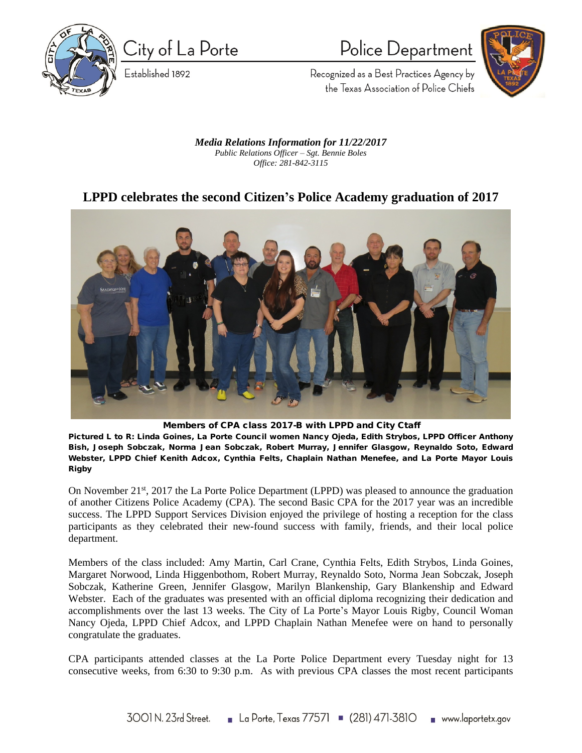

City of La Porte

Established 1892

Police Department



Recognized as a Best Practices Agency by the Texas Association of Police Chiefs

*Media Relations Information for 11/22/2017 Public Relations Officer – Sgt. Bennie Boles Office: 281-842-3115*

## **LPPD celebrates the second Citizen's Police Academy graduation of 2017**



**Members of CPA class 2017-B with LPPD and City Ctaff**

**Pictured L to R: Linda Goines, La Porte Council women Nancy Ojeda, Edith Strybos, LPPD Officer Anthony Bish, Joseph Sobczak, Norma Jean Sobczak, Robert Murray, Jennifer Glasgow, Reynaldo Soto, Edward Webster, LPPD Chief Kenith Adcox, Cynthia Felts, Chaplain Nathan Menefee, and La Porte Mayor Louis Rigby** 

On November 21<sup>st</sup>, 2017 the La Porte Police Department (LPPD) was pleased to announce the graduation of another Citizens Police Academy (CPA). The second Basic CPA for the 2017 year was an incredible success. The LPPD Support Services Division enjoyed the privilege of hosting a reception for the class participants as they celebrated their new-found success with family, friends, and their local police department.

Members of the class included: Amy Martin, Carl Crane, Cynthia Felts, Edith Strybos, Linda Goines, Margaret Norwood, Linda Higgenbothom, Robert Murray, Reynaldo Soto, Norma Jean Sobczak, Joseph Sobczak, Katherine Green, Jennifer Glasgow, Marilyn Blankenship, Gary Blankenship and Edward Webster. Each of the graduates was presented with an official diploma recognizing their dedication and accomplishments over the last 13 weeks. The City of La Porte's Mayor Louis Rigby, Council Woman Nancy Ojeda, LPPD Chief Adcox, and LPPD Chaplain Nathan Menefee were on hand to personally congratulate the graduates.

CPA participants attended classes at the La Porte Police Department every Tuesday night for 13 consecutive weeks, from 6:30 to 9:30 p.m. As with previous CPA classes the most recent participants